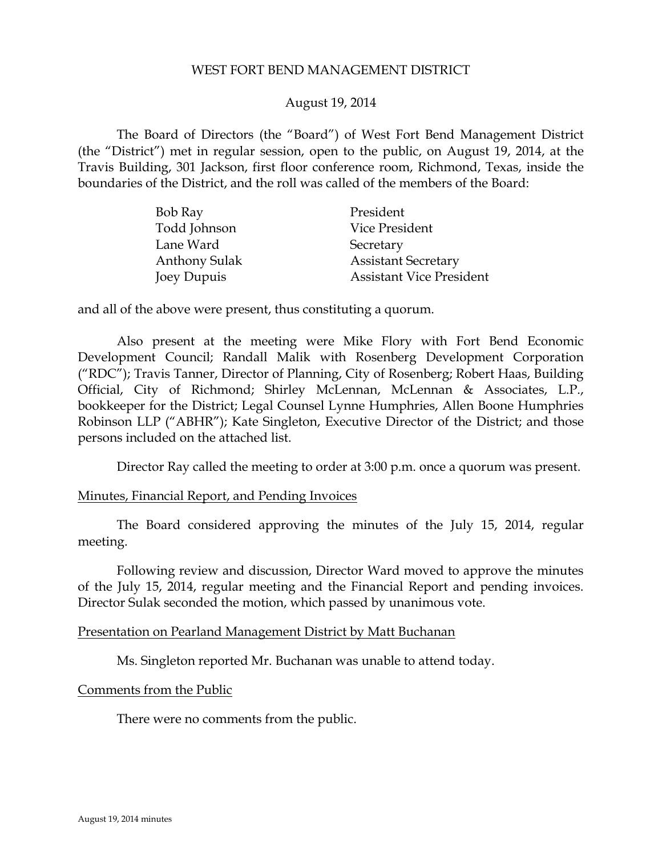### WEST FORT BEND MANAGEMENT DISTRICT

### August 19, 2014

The Board of Directors (the "Board") of West Fort Bend Management District (the "District") met in regular session, open to the public, on August 19, 2014, at the Travis Building, 301 Jackson, first floor conference room, Richmond, Texas, inside the boundaries of the District, and the roll was called of the members of the Board:

| Bob Ray       | President                       |
|---------------|---------------------------------|
| Todd Johnson  | Vice President                  |
| Lane Ward     | Secretary                       |
| Anthony Sulak | <b>Assistant Secretary</b>      |
| Joey Dupuis   | <b>Assistant Vice President</b> |

and all of the above were present, thus constituting a quorum.

Also present at the meeting were Mike Flory with Fort Bend Economic Development Council; Randall Malik with Rosenberg Development Corporation ("RDC"); Travis Tanner, Director of Planning, City of Rosenberg; Robert Haas, Building Official, City of Richmond; Shirley McLennan, McLennan & Associates, L.P., bookkeeper for the District; Legal Counsel Lynne Humphries, Allen Boone Humphries Robinson LLP ("ABHR"); Kate Singleton, Executive Director of the District; and those persons included on the attached list.

<span id="page-0-0"></span>Director Ray called the meeting to order at 3:00 p.m. once a quorum was present.

#### Minutes, Financial Report, and Pending Invoices

The Board considered approving the minutes of the July 15, 2014, regular meeting.

Following review and discussion, Director Ward moved to approve the minutes of the July 15, 2014, regular meeting and the Financial Report and pending invoices. Director Sulak seconded the motion, which passed by unanimous vote.

#### Presentation on Pearland Management District by Matt Buchanan

Ms. Singleton reported Mr. Buchanan was unable to attend today.

#### Comments from the Public

There were no comments from the public.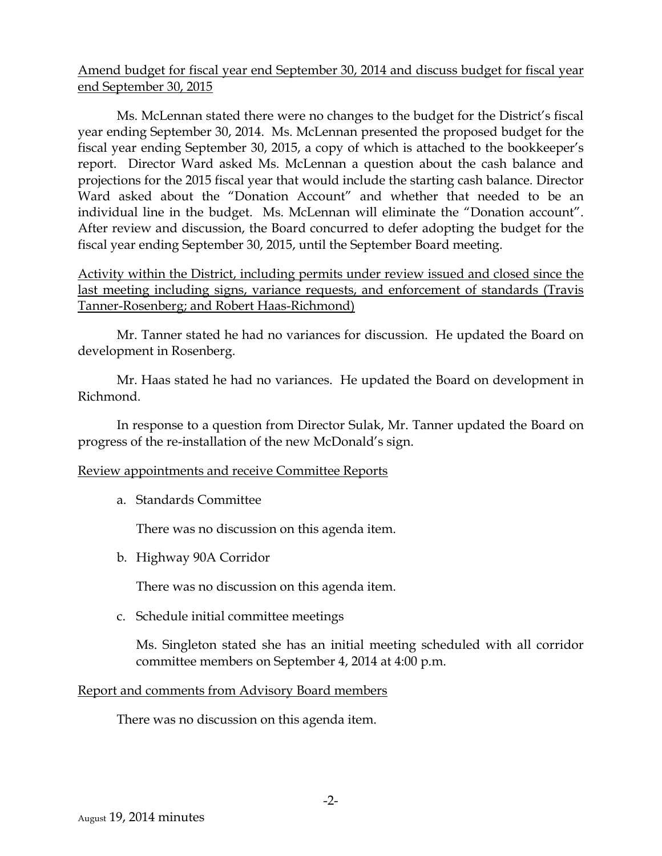## Amend budget for fiscal year end September 30, 2014 and discuss budget for fiscal year end September 30, 2015

<span id="page-1-0"></span>Ms. McLennan stated there were no changes to the budget for the District's fiscal year ending September 30, 2014. Ms. McLennan presented the proposed budget for the fiscal year ending September 30, 2015, a copy of which is attached to the bookkeeper's report. Director Ward asked Ms. McLennan a question about the cash balance and projections for the 2015 fiscal year that would include the starting cash balance. Director Ward asked about the "Donation Account" and whether that needed to be an individual line in the budget. Ms. McLennan will eliminate the "Donation account". After review and discussion, the Board concurred to defer adopting the budget for the fiscal year ending September 30, 2015, until the September Board meeting.

## Activity within the District, including permits under review issued and closed since the last meeting including signs, variance requests, and enforcement of standards (Travis Tanner-Rosenberg; and Robert Haas-Richmond)

Mr. Tanner stated he had no variances for discussion. He updated the Board on development in Rosenberg.

Mr. Haas stated he had no variances. He updated the Board on development in Richmond.

In response to a question from Director Sulak, Mr. Tanner updated the Board on progress of the re-installation of the new McDonald's sign.

### Review appointments and receive Committee Reports

a. Standards Committee

There was no discussion on this agenda item.

b. Highway 90A Corridor

There was no discussion on this agenda item.

c. Schedule initial committee meetings

Ms. Singleton stated she has an initial meeting scheduled with all corridor committee members on September 4, 2014 at 4:00 p.m.

### Report and comments from Advisory Board members

There was no discussion on this agenda item.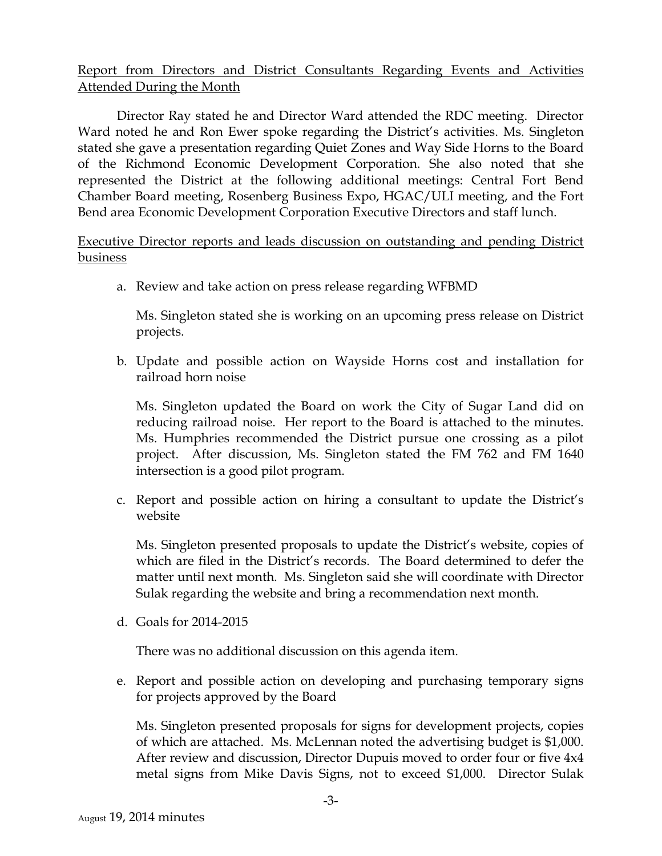## Report from Directors and District Consultants Regarding Events and Activities Attended During the Month

Director Ray stated he and Director Ward attended the RDC meeting. Director Ward noted he and Ron Ewer spoke regarding the District's activities. Ms. Singleton stated she gave a presentation regarding Quiet Zones and Way Side Horns to the Board of the Richmond Economic Development Corporation. She also noted that she represented the District at the following additional meetings: Central Fort Bend Chamber Board meeting, Rosenberg Business Expo, HGAC/ULI meeting, and the Fort Bend area Economic Development Corporation Executive Directors and staff lunch.

Executive Director reports and leads discussion on outstanding and pending District business

a. Review and take action on press release regarding WFBMD

Ms. Singleton stated she is working on an upcoming press release on District projects.

b. Update and possible action on Wayside Horns cost and installation for railroad horn noise

<span id="page-2-0"></span>Ms. Singleton updated the Board on work the City of Sugar Land did on reducing railroad noise. Her report to the Board is attached to the minutes. Ms. Humphries recommended the District pursue one crossing as a pilot project. After discussion, Ms. Singleton stated the FM 762 and FM 1640 intersection is a good pilot program.

c. Report and possible action on hiring a consultant to update the District's website

Ms. Singleton presented proposals to update the District's website, copies of which are filed in the District's records. The Board determined to defer the matter until next month. Ms. Singleton said she will coordinate with Director Sulak regarding the website and bring a recommendation next month.

d. Goals for 2014-2015

There was no additional discussion on this agenda item.

e. Report and possible action on developing and purchasing temporary signs for projects approved by the Board

<span id="page-2-1"></span>Ms. Singleton presented proposals for signs for development projects, copies of which are attached. Ms. McLennan noted the advertising budget is \$1,000. After review and discussion, Director Dupuis moved to order four or five 4x4 metal signs from Mike Davis Signs, not to exceed \$1,000. Director Sulak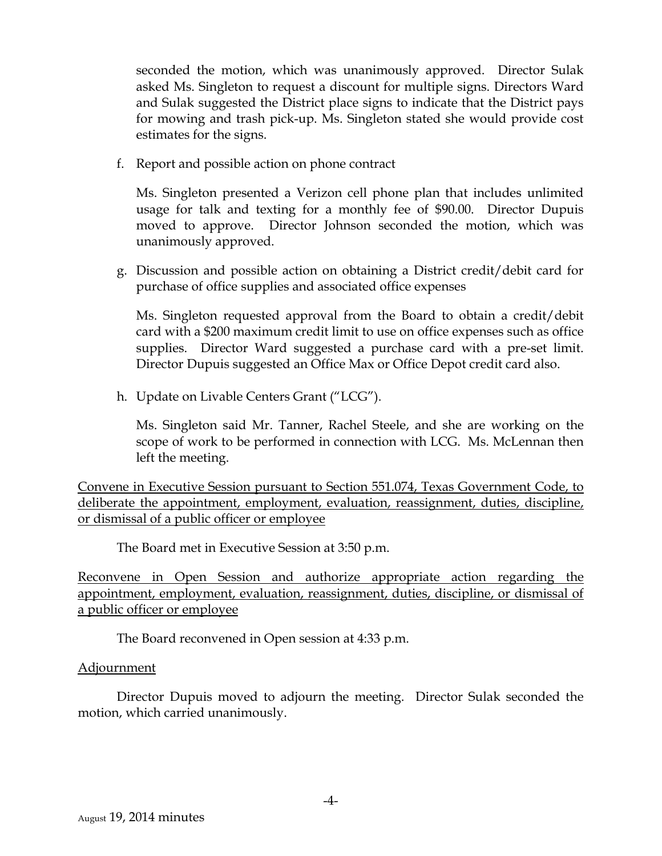seconded the motion, which was unanimously approved. Director Sulak asked Ms. Singleton to request a discount for multiple signs. Directors Ward and Sulak suggested the District place signs to indicate that the District pays for mowing and trash pick-up. Ms. Singleton stated she would provide cost estimates for the signs.

f. Report and possible action on phone contract

Ms. Singleton presented a Verizon cell phone plan that includes unlimited usage for talk and texting for a monthly fee of \$90.00. Director Dupuis moved to approve. Director Johnson seconded the motion, which was unanimously approved.

g. Discussion and possible action on obtaining a District credit/debit card for purchase of office supplies and associated office expenses

Ms. Singleton requested approval from the Board to obtain a credit/debit card with a \$200 maximum credit limit to use on office expenses such as office supplies. Director Ward suggested a purchase card with a pre-set limit. Director Dupuis suggested an Office Max or Office Depot credit card also.

h. Update on Livable Centers Grant ("LCG").

Ms. Singleton said Mr. Tanner, Rachel Steele, and she are working on the scope of work to be performed in connection with LCG. Ms. McLennan then left the meeting.

Convene in Executive Session pursuant to Section 551.074, Texas Government Code, to deliberate the appointment, employment, evaluation, reassignment, duties, discipline, or dismissal of a public officer or employee

The Board met in Executive Session at 3:50 p.m.

Reconvene in Open Session and authorize appropriate action regarding the appointment, employment, evaluation, reassignment, duties, discipline, or dismissal of a public officer or employee

The Board reconvened in Open session at 4:33 p.m.

### Adjournment

Director Dupuis moved to adjourn the meeting. Director Sulak seconded the motion, which carried unanimously.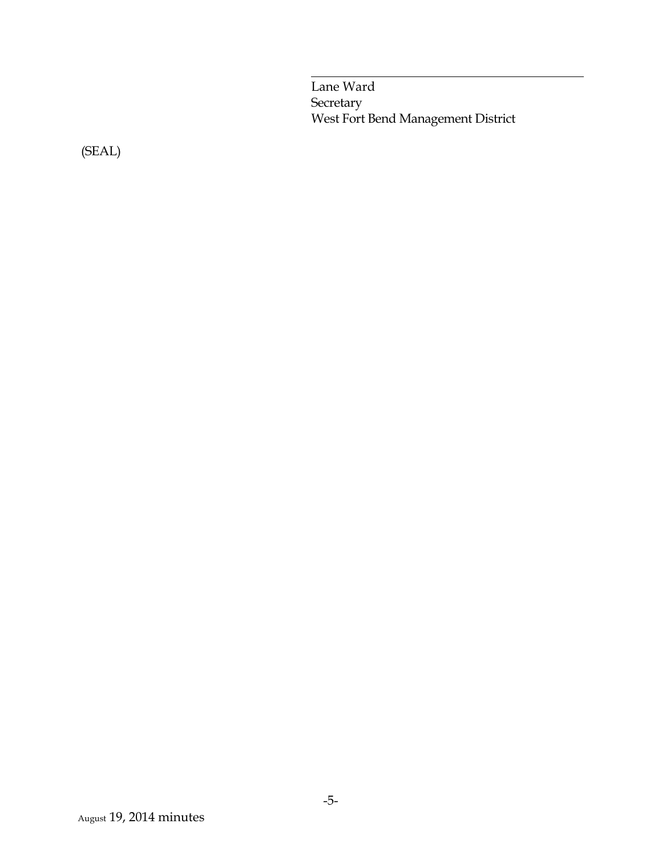Lane Ward **Secretary** West Fort Bend Management District

(SEAL)